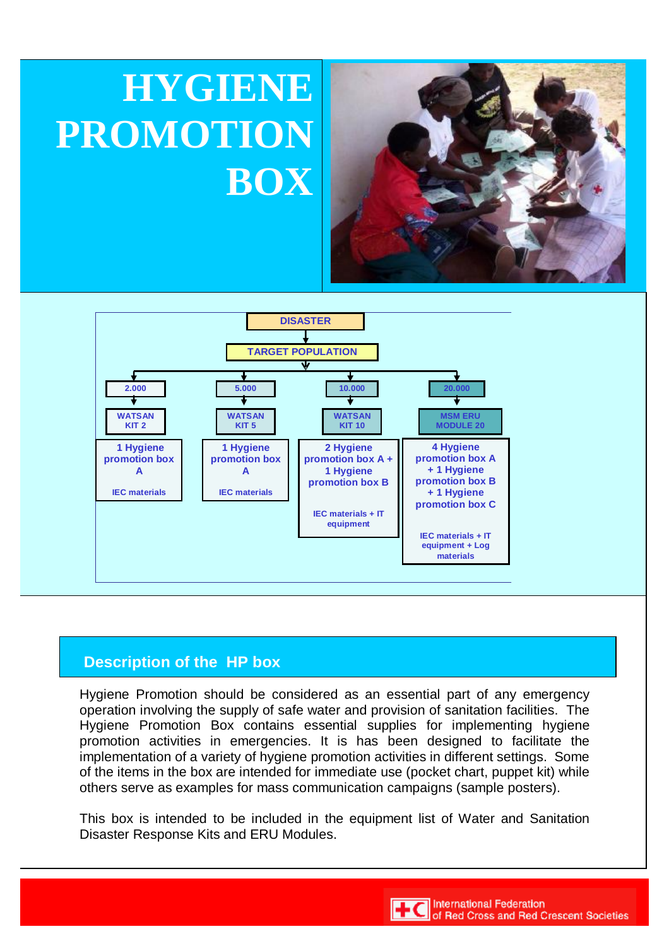# **HYGIENE PROMOTION BOX**





## **Description of the HP box**

Hygiene Promotion should be considered as an essential part of any emergency operation involving the supply of safe water and provision of sanitation facilities. The Hygiene Promotion Box contains essential supplies for implementing hygiene promotion activities in emergencies. It is has been designed to facilitate the implementation of a variety of hygiene promotion activities in different settings. Some of the items in the box are intended for immediate use (pocket chart, puppet kit) while others serve as examples for mass communication campaigns (sample posters).

This box is intended to be included in the equipment list of Water and Sanitation Disaster Response Kits and ERU Modules.